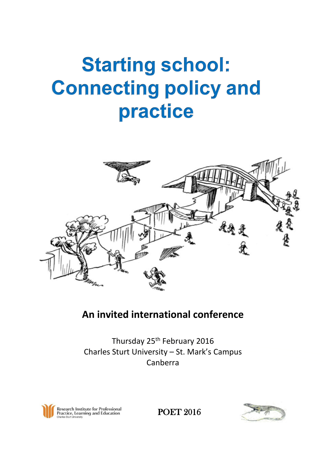## **Starting school: Connecting policy and** practice



## **An invited international conference**

Thursday 25<sup>th</sup> February 2016 Charles Sturt University – St. Mark's Campus Canberra



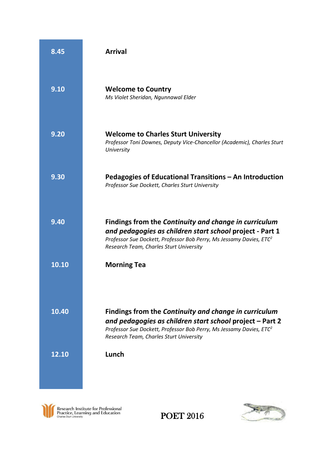| 8.45  | <b>Arrival</b>                                                                                                                                                                                                                                  |
|-------|-------------------------------------------------------------------------------------------------------------------------------------------------------------------------------------------------------------------------------------------------|
| 9.10  | <b>Welcome to Country</b><br>Ms Violet Sheridan, Ngunnawal Elder                                                                                                                                                                                |
| 9.20  | <b>Welcome to Charles Sturt University</b><br>Professor Toni Downes, Deputy Vice-Chancellor (Academic), Charles Sturt<br>University                                                                                                             |
| 9.30  | Pedagogies of Educational Transitions - An Introduction<br>Professor Sue Dockett, Charles Sturt University                                                                                                                                      |
| 9.40  | Findings from the Continuity and change in curriculum<br>and pedagogies as children start school project - Part 1<br>Professor Sue Dockett, Professor Bob Perry, Ms Jessamy Davies, ETC <sup>2</sup><br>Research Team, Charles Sturt University |
| 10.10 | <b>Morning Tea</b>                                                                                                                                                                                                                              |
| 10.40 | Findings from the Continuity and change in curriculum<br>and pedagogies as children start school project - Part 2<br>Professor Sue Dockett, Professor Bob Perry, Ms Jessamy Davies, ETC <sup>2</sup><br>Research Team, Charles Sturt University |
| 12.10 | Lunch                                                                                                                                                                                                                                           |



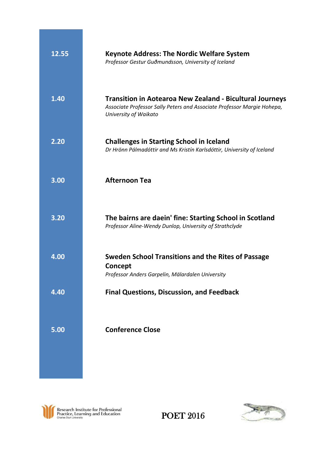| 12.55 | <b>Keynote Address: The Nordic Welfare System</b><br>Professor Gestur Guðmundsson, University of Iceland                                                            |
|-------|---------------------------------------------------------------------------------------------------------------------------------------------------------------------|
| 1.40  | <b>Transition in Aotearoa New Zealand - Bicultural Journeys</b><br>Associate Professor Sally Peters and Associate Professor Margie Hohepa,<br>University of Waikato |
| 2.20  | <b>Challenges in Starting School in Iceland</b><br>Dr Hrönn Pálmadóttir and Ms Kristín Karlsdóttir, University of Iceland                                           |
| 3.00  | <b>Afternoon Tea</b>                                                                                                                                                |
| 3.20  | The bairns are daein' fine: Starting School in Scotland<br>Professor Aline-Wendy Dunlop, University of Strathclyde                                                  |
| 4.00  | Sweden School Transitions and the Rites of Passage<br>Concept<br>Professor Anders Garpelin, Mälardalen University                                                   |
| 4.40  | <b>Final Questions, Discussion, and Feedback</b>                                                                                                                    |
| 5.00  | <b>Conference Close</b>                                                                                                                                             |
|       |                                                                                                                                                                     |